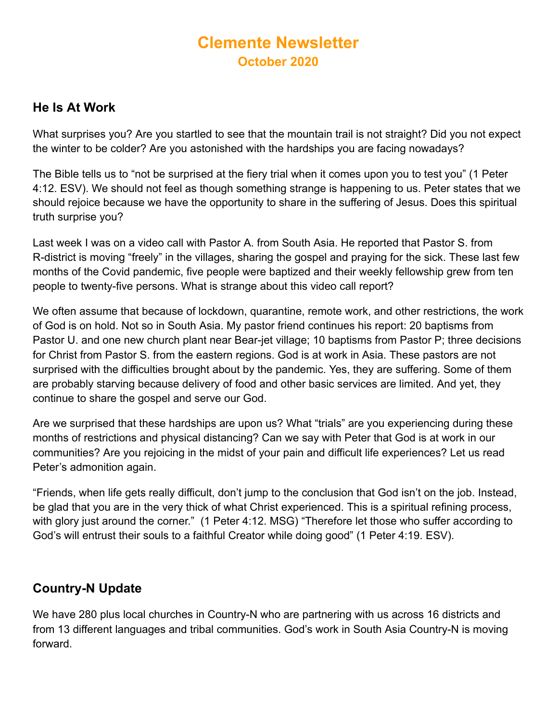# **Clemente Newsletter October 2020**

## **He Is At Work**

What surprises you? Are you startled to see that the mountain trail is not straight? Did you not expect the winter to be colder? Are you astonished with the hardships you are facing nowadays?

The Bible tells us to "not be surprised at the fiery trial when it comes upon you to test you" (1 Peter 4:12. ESV). We should not feel as though something strange is happening to us. Peter states that we should rejoice because we have the opportunity to share in the suffering of Jesus. Does this spiritual truth surprise you?

Last week I was on a video call with Pastor A. from South Asia. He reported that Pastor S. from R-district is moving "freely" in the villages, sharing the gospel and praying for the sick. These last few months of the Covid pandemic, five people were baptized and their weekly fellowship grew from ten people to twenty-five persons. What is strange about this video call report?

We often assume that because of lockdown, quarantine, remote work, and other restrictions, the work of God is on hold. Not so in South Asia. My pastor friend continues his report: 20 baptisms from Pastor U. and one new church plant near Bear-jet village; 10 baptisms from Pastor P; three decisions for Christ from Pastor S. from the eastern regions. God is at work in Asia. These pastors are not surprised with the difficulties brought about by the pandemic. Yes, they are suffering. Some of them are probably starving because delivery of food and other basic services are limited. And yet, they continue to share the gospel and serve our God.

Are we surprised that these hardships are upon us? What "trials" are you experiencing during these months of restrictions and physical distancing? Can we say with Peter that God is at work in our communities? Are you rejoicing in the midst of your pain and difficult life experiences? Let us read Peter's admonition again.

"Friends, when life gets really difficult, don't jump to the conclusion that God isn't on the job. Instead, be glad that you are in the very thick of what Christ experienced. This is a spiritual refining process, with glory just around the corner." (1 Peter 4:12. MSG) "Therefore let those who suffer according to God's will entrust their souls to a faithful Creator while doing good" (1 Peter 4:19. ESV).

# **Country-N Update**

We have 280 plus local churches in Country-N who are partnering with us across 16 districts and from 13 different languages and tribal communities. God's work in South Asia Country-N is moving forward.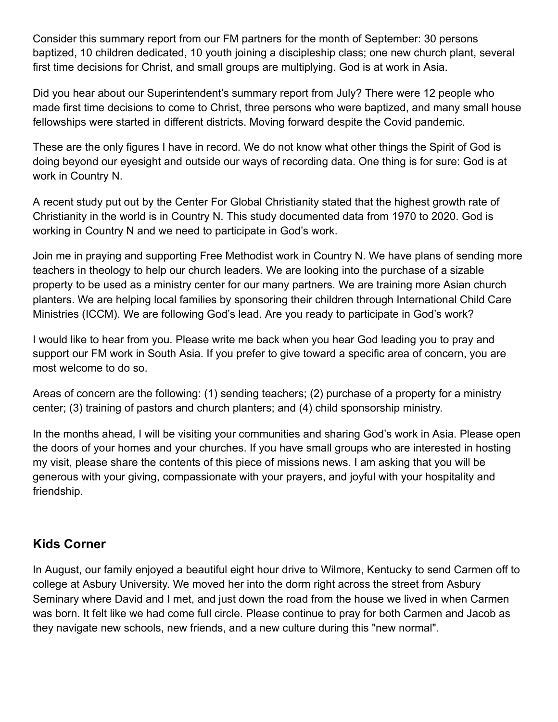Consider this summary report from our FM partners for the month of September: 30 persons baptized, 10 children dedicated, 10 youth joining a discipleship class; one new church plant, several first time decisions for Christ, and small groups are multiplying. God is at work in Asia.

Did you hear about our Superintendent's summary report from July? There were 12 people who made first time decisions to come to Christ, three persons who were baptized, and many small house fellowships were started in different districts. Moving forward despite the Covid pandemic.

These are the only figures I have in record. We do not know what other things the Spirit of God is doing beyond our eyesight and outside our ways of recording data. One thing is for sure: God is at work in Country N.

A recent study put out by the Center For Global Christianity stated that the highest growth rate of Christianity in the world is in Country N. This study documented data from 1970 to 2020. God is working in Country N and we need to participate in God's work.

Join me in praying and supporting Free Methodist work in Country N. We have plans of sending more teachers in theology to help our church leaders. We are looking into the purchase of a sizable property to be used as a ministry center for our many partners. We are training more Asian church planters. We are helping local families by sponsoring their children through International Child Care Ministries (ICCM). We are following God's lead. Are you ready to participate in God's work?

I would like to hear from you. Please write me back when you hear God leading you to pray and support our FM work in South Asia. If you prefer to give toward a specific area of concern, you are most welcome to do so.

Areas of concern are the following: (1) sending teachers; (2) purchase of a property for a ministry center; (3) training of pastors and church planters; and (4) child sponsorship ministry.

In the months ahead, I will be visiting your communities and sharing God's work in Asia. Please open the doors of your homes and your churches. If you have small groups who are interested in hosting my visit, please share the contents of this piece of missions news. I am asking that you will be generous with your giving, compassionate with your prayers, and joyful with your hospitality and friendship.

#### **Kids Corner**

In August, our family enjoyed a beautiful eight hour drive to Wilmore, Kentucky to send Carmen off to college at Asbury University. We moved her into the dorm right across the street from Asbury Seminary where David and I met, and just down the road from the house we lived in when Carmen was born. It felt like we had come full circle. Please continue to pray for both Carmen and Jacob as they navigate new schools, new friends, and a new culture during this "new normal".